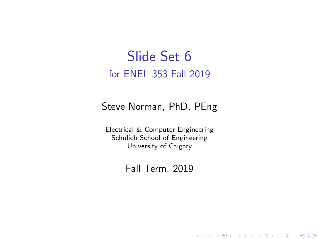#### Slide Set 6 for ENEL 353 Fall 2019

#### Steve Norman, PhD, PEng

Electrical & Computer Engineering Schulich School of Engineering University of Calgary

#### Fall Term, 2019

メロメ メ御メ メミメ メミメン

一番

 $2Q$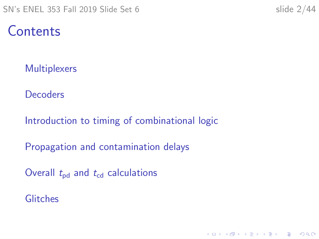#### **Contents**

**[Multiplexers](#page-2-0)** 

**[Decoders](#page-16-0)** 

[Introduction to timing of combinational logic](#page-21-0)

[Propagation and contamination delays](#page-27-0)

Overall  $t_{\rm pd}$  and  $t_{\rm cd}$  [calculations](#page-32-0)

**[Glitches](#page-40-0)**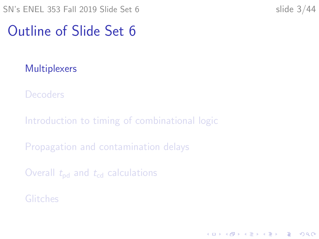#### <span id="page-2-0"></span>Outline of Slide Set 6

#### **[Multiplexers](#page-2-0)**

**[Decoders](#page-16-0)** 

[Introduction to timing of combinational logic](#page-21-0)

[Propagation and contamination delays](#page-27-0)

Overall  $t_{\rm{nd}}$  and  $t_{\rm{cd}}$  [calculations](#page-32-0)

[Glitches](#page-40-0)

K ロ ▶ K 個 ▶ K 할 ▶ K 할 ▶ 이 할 → 9 Q Q →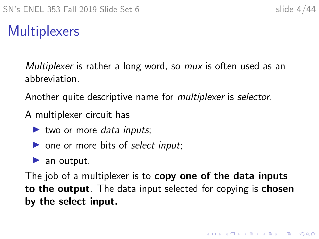K ロ ▶ K 個 ▶ K 할 ▶ K 할 ▶ 이 할 → 9 Q Q →

#### **Multiplexers**

Multiplexer is rather a long word, so *mux* is often used as an abbreviation.

Another quite descriptive name for multiplexer is selector.

A multiplexer circuit has

- $\blacktriangleright$  two or more data inputs;
- $\triangleright$  one or more bits of select input;
- $\blacktriangleright$  an output.

The job of a multiplexer is to **copy one of the data inputs** to the output. The data input selected for copying is chosen by the select input.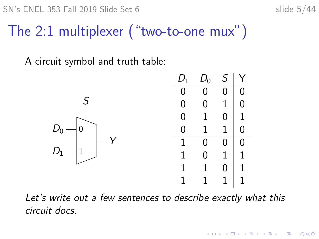$SN's ENEL 353$  Fall 2019 Slide Set 6 slide 5/44

 $\mathbf{E} = \mathbf{A} \oplus \mathbf{B} + \mathbf{A} \oplus \mathbf{B} + \mathbf{A} \oplus \mathbf{B} + \mathbf{A} \oplus \mathbf{A}$ 

 $2990$ 

#### The 2:1 multiplexer ("two-to-one mux")

A circuit symbol and truth table:



Let's write out a few sentences to describe exactly what this circuit does.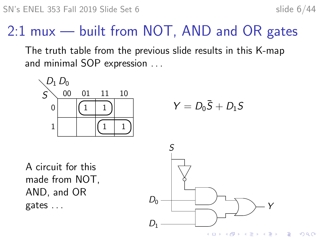**K ロ ▶ K 何 ▶ K ヨ ▶ K ヨ ▶** 

Þ

 $2Q$ 

#### 2:1 mux — built from NOT, AND and OR gates

The truth table from the previous slide results in this K-map and minimal SOP expression . . .

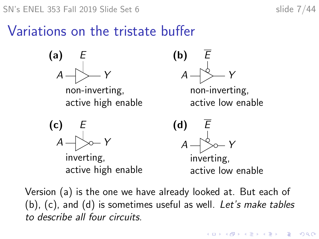$SN's ENEL 353$  Fall 2019 Slide Set 6 slide 7/44

 $\mathbf{E} = \mathbf{A} \oplus \mathbf{B} + \mathbf{A} \oplus \mathbf{B} + \mathbf{A} \oplus \mathbf{B} + \mathbf{A} \oplus \mathbf{A}$ 

 $2990$ 

Variations on the tristate buffer



Version (a) is the one we have already looked at. But each of (b), (c), and (d) is sometimes useful as well. Let's make tables to describe all four circuits.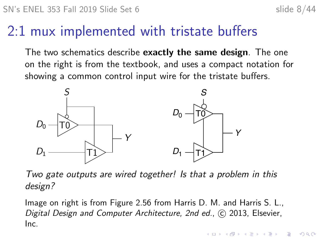**KORKARYKERKER POLO** 

#### 2:1 mux implemented with tristate buffers

The two schematics describe **exactly the same design**. The one on the right is from the textbook, and uses a compact notation for showing a common control input wire for the tristate buffers.



Two gate outputs are wired together! Is that a problem in this design?

Image on right is from Figure 2.56 from Harris D. M. and Harris S. L., Digital Design and Computer Architecture, 2nd ed., C 2013, Elsevier, Inc.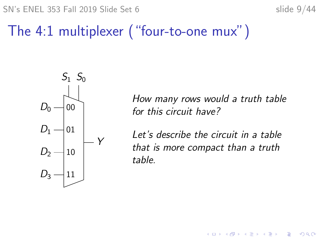$SN's ENEL 353$  Fall 2019 Slide Set 6 slide 9/44

 $2990$ 

Þ

#### The 4:1 multiplexer ("four-to-one mux")



How many rows would a truth table for this circuit have?

Let's describe the circuit in a table that is more compact than a truth table.

**K ロ ▶ K 何 ▶ K ヨ ▶ K ヨ ▶**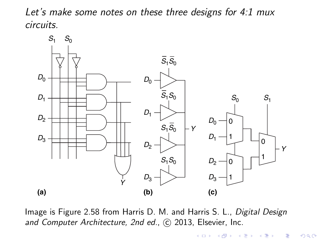Let's make some notes on these three designs for 4:1 mux circuits.



Image is Figure 2.58 from Harris D. M. and Harris S. L., Digital Design and Computer Architecture, 2nd ed., C 2013, Elsevier, Inc.

> (ロ) (個) (暑) (差)  $290$ 陰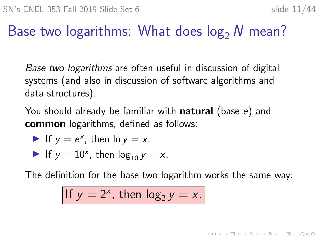**KORKAR KERKER SAGA** 

#### Base two logarithms: What does  $log_2 N$  mean?

Base two logarithms are often useful in discussion of digital systems (and also in discussion of software algorithms and data structures).

You should already be familiar with **natural** (base e) and common logarithms, defined as follows:

If 
$$
y = e^x
$$
, then  $\ln y = x$ .

If 
$$
y = 10^x
$$
, then  $\log_{10} y = x$ .

The definition for the base two logarithm works the same way:

If 
$$
y = 2^x
$$
, then  $\log_2 y = x$ .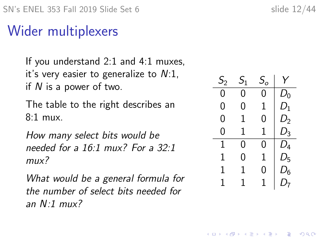#### Wider multiplexers

If you understand 2:1 and 4:1 muxes, it's very easier to generalize to  $N:1$ , if  $N$  is a power of two.

The table to the right describes an 8:1 mux.

How many select bits would be needed for a 16:1 mux? For a 32:1 mux?

What would be a general formula for the number of select bits needed for an  $N:1$  mux?

| $\mathcal{S}_2$ | $S_1$ | $\mathcal{S}_o$ | Y     |
|-----------------|-------|-----------------|-------|
| 0               | 0     | 0               | $D_0$ |
| 0               | 0     | 1               | $D_1$ |
| 0               | 1     | 0               | D,    |
| 0               | 1     | 1               | $D_3$ |
| 1               | 0     | 0               | $D_4$ |
| 1               | 0     | 1               | $D_5$ |
| 1               | 1     | 0               | $D_6$ |
| 1               | 1     | 1               | D7    |

**KORKARYKERKER POLO**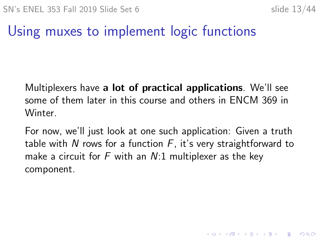## Using muxes to implement logic functions

Multiplexers have a lot of practical applications. We'll see some of them later in this course and others in ENCM 369 in Winter.

For now, we'll just look at one such application: Given a truth table with N rows for a function  $F$ , it's very straightforward to make a circuit for F with an  $N:1$  multiplexer as the key component.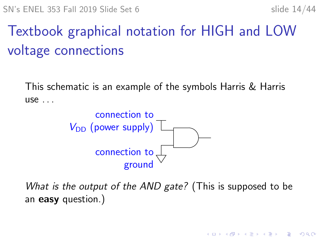**KORKARYKERKER POLO** 

# Textbook graphical notation for HIGH and LOW voltage connections

This schematic is an example of the symbols Harris & Harris use . . .



What is the output of the AND gate? (This is supposed to be an easy question.)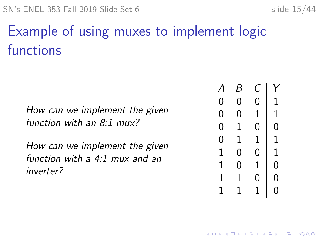# Example of using muxes to implement logic functions

How can we implement the given function with an  $8:1$  mux?

How can we implement the given function with a 4:1 mux and an inverter?

|   | B | C |                |
|---|---|---|----------------|
| 0 | 0 | 0 | 1              |
| 0 | 0 | 1 | 1              |
| 0 | 1 | 0 | 0              |
| 0 | 1 | 1 | $\overline{1}$ |
| 1 | 0 | 0 | 1              |
| 1 | 0 | 1 | 0              |
| 1 | 1 | 0 | 0              |
| 1 | 1 | 1 | 0              |

**KORKARYKERKER POLO**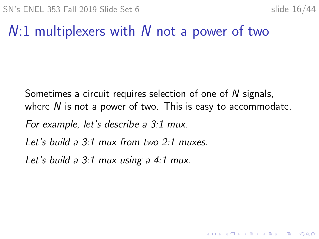KELK KØLK VELKEN EL 1990

#### $N:1$  multiplexers with N not a power of two

Sometimes a circuit requires selection of one of N signals, where  $N$  is not a power of two. This is easy to accommodate.

For example, let's describe a 3:1 mux.

Let's build a 3:1 mux from two 2:1 muxes.

Let's build a  $3:1$  mux using a  $4:1$  mux.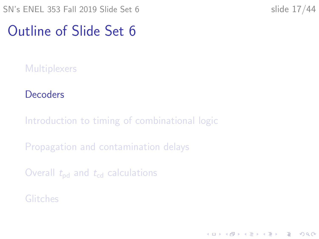#### <span id="page-16-0"></span>Outline of Slide Set 6

**[Multiplexers](#page-2-0)** 

#### **[Decoders](#page-16-0)**

[Introduction to timing of combinational logic](#page-21-0)

[Propagation and contamination delays](#page-27-0)

Overall  $t_{\rm{nd}}$  and  $t_{\rm{cd}}$  [calculations](#page-32-0)

[Glitches](#page-40-0)

K ロ ▶ K 個 ▶ K 할 ▶ K 할 ▶ 이 할 → 9 Q Q →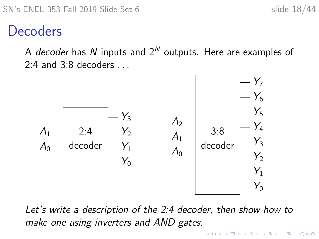$\Omega$ 

#### **Decoders**

A decoder has N inputs and  $2^N$  outputs. Here are examples of  $2:4$  and  $3:8$  decoders



Let's write a description of the 2:4 decoder, then show how to make one using inverters and AND gates.

**←ロ ▶ → 伊 ▶ → ヨ ▶ → ヨ ▶**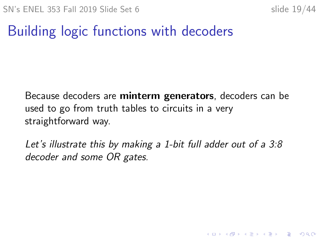**KORKARYKERKER POLO** 

## Building logic functions with decoders

Because decoders are minterm generators, decoders can be used to go from truth tables to circuits in a very straightforward way.

Let's illustrate this by making a 1-bit full adder out of a 3:8 decoder and some OR gates.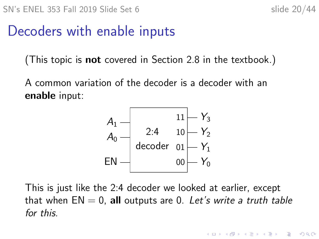KID KA KERKER E 1990

#### Decoders with enable inputs

(This topic is not covered in Section 2.8 in the textbook.)

A common variation of the decoder is a decoder with an enable input:



This is just like the 2:4 decoder we looked at earlier, except that when  $EN = 0$ , all outputs are 0. Let's write a truth table for this.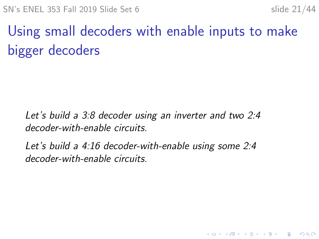**KORKARYKERKER POLO** 

# Using small decoders with enable inputs to make bigger decoders

Let's build a 3:8 decoder using an inverter and two 2:4 decoder-with-enable circuits.

Let's build a 4:16 decoder-with-enable using some 2:4 decoder-with-enable circuits.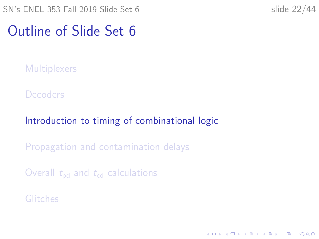#### <span id="page-21-0"></span>Outline of Slide Set 6

**[Multiplexers](#page-2-0)** 

**[Decoders](#page-16-0)** 

[Introduction to timing of combinational logic](#page-21-0)

[Propagation and contamination delays](#page-27-0)

Overall  $t_{\rm{nd}}$  and  $t_{\rm{cd}}$  [calculations](#page-32-0)

[Glitches](#page-40-0)

K ロ ▶ K 個 ▶ K 할 ▶ K 할 ▶ 이 할 → 9 Q Q →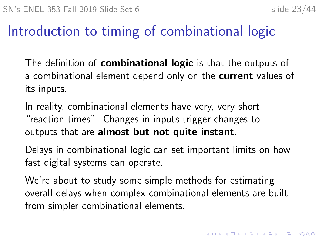#### Introduction to timing of combinational logic

The definition of **combinational logic** is that the outputs of a combinational element depend only on the **current** values of its inputs.

In reality, combinational elements have very, very short "reaction times". Changes in inputs trigger changes to outputs that are almost but not quite instant.

Delays in combinational logic can set important limits on how fast digital systems can operate.

We're about to study some simple methods for estimating overall delays when complex combinational elements are built from simpler combinational elements.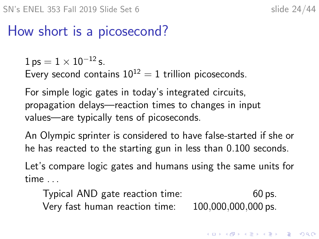4 0 > 4 4 + 4 = + 4 = + = + + 0 4 0 +

#### How short is a picosecond?

 $1 ps = 1 \times 10^{-12} s.$ 

Every second contains  $10^{12} = 1$  trillion picoseconds.

For simple logic gates in today's integrated circuits, propagation delays—reaction times to changes in input values—are typically tens of picoseconds.

An Olympic sprinter is considered to have false-started if she or he has reacted to the starting gun in less than 0.100 seconds.

Let's compare logic gates and humans using the same units for time . . .

Typical AND gate reaction time: 60 ps. Very fast human reaction time: 100,000,000,000 ps.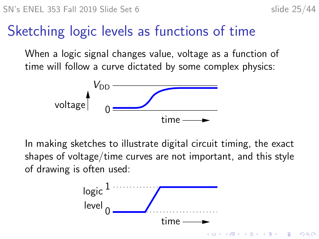### Sketching logic levels as functions of time

When a logic signal changes value, voltage as a function of time will follow a curve dictated by some complex physics:



In making sketches to illustrate digital circuit timing, the exact shapes of voltage/time curves are not important, and this style of drawing is often used:

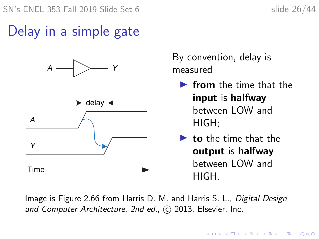## Delay in a simple gate



By convention, delay is measured

- $\blacktriangleright$  from the time that the input is halfway between LOW and HIGH;
- $\blacktriangleright$  to the time that the output is halfway between LOW and HIGH.

Image is Figure 2.66 from Harris D. M. and Harris S. L., Digital Design and Computer Architecture, 2nd ed., C 2013, Elsevier, Inc.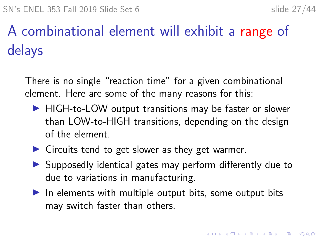# A combinational element will exhibit a range of delays

There is no single "reaction time" for a given combinational element. Here are some of the many reasons for this:

- $\blacktriangleright$  HIGH-to-LOW output transitions may be faster or slower than LOW-to-HIGH transitions, depending on the design of the element.
- $\triangleright$  Circuits tend to get slower as they get warmer.
- $\triangleright$  Supposedly identical gates may perform differently due to due to variations in manufacturing.
- $\blacktriangleright$  In elements with multiple output bits, some output bits may switch faster than others.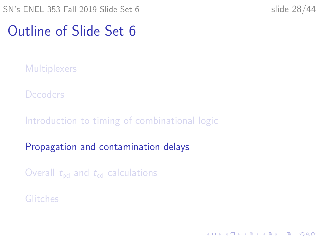#### <span id="page-27-0"></span>Outline of Slide Set 6

**[Multiplexers](#page-2-0)** 

**[Decoders](#page-16-0)** 

[Introduction to timing of combinational logic](#page-21-0)

[Propagation and contamination delays](#page-27-0)

Overall  $t_{\rm{nd}}$  and  $t_{\rm{cd}}$  [calculations](#page-32-0)

[Glitches](#page-40-0)

K ロ ▶ K 個 ▶ K 할 ▶ K 할 ▶ 이 할 → 9 Q Q →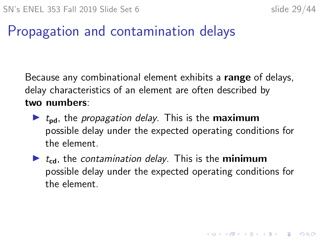KID KA KERKER KID KO

#### Propagation and contamination delays

Because any combinational element exhibits a range of delays, delay characteristics of an element are often described by two numbers:

- $\blacktriangleright$   $t_{\rm nd}$ , the *propagation delay*. This is the **maximum** possible delay under the expected operating conditions for the element.
- $\triangleright$  t<sub>cd</sub>, the contamination delay. This is the **minimum** possible delay under the expected operating conditions for the element.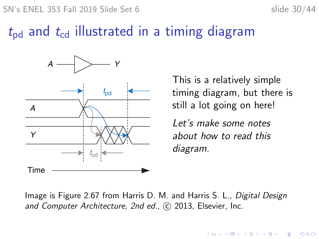SN's ENEL 353 Fall 2019 Slide Set 6 slide 30/44

#### $t_{\rm pd}$  and  $t_{\rm cd}$  illustrated in a timing diagram



This is a relatively simple timing diagram, but there is still a lot going on here!

**KORKARYKERKER POLO** 

Let's make some notes about how to read this diagram.

Image is Figure 2.67 from Harris D. M. and Harris S. L., Digital Design and Computer Architecture, 2nd ed., C 2013, Elsevier, Inc.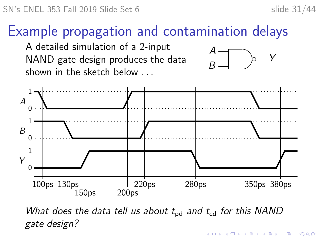#### Example propagation and contamination delays

A detailed simulation of a 2-input NAND gate design produces the data shown in the sketch below . . .





What does the data tell us about  $t_{\rm bd}$  and  $t_{\rm cd}$  for this NAND gate design?**KORKARYKERKER POLO**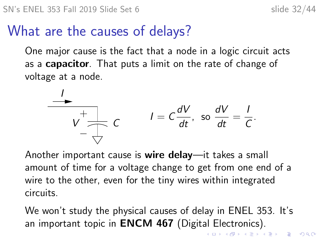#### What are the causes of delays?

One major cause is the fact that a node in a logic circuit acts as a **capacitor**. That puts a limit on the rate of change of voltage at a node.



Another important cause is wire delay—it takes a small amount of time for a voltage change to get from one end of a wire to the other, even for the tiny wires within integrated circuits.

We won't study the physical causes of delay in ENEL 353. It's an important topic in **ENCM 467** (Digital Electronics). K □ K K 레 K K 로 K K 로 K H X K K K K K K K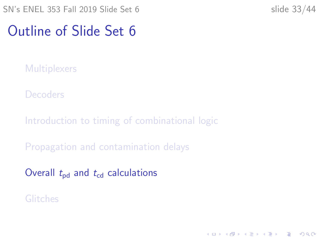#### <span id="page-32-0"></span>Outline of Slide Set 6

**[Multiplexers](#page-2-0)** 

**[Decoders](#page-16-0)** 

[Introduction to timing of combinational logic](#page-21-0)

[Propagation and contamination delays](#page-27-0)

Overall  $t_{\rm pd}$  and  $t_{\rm cd}$  [calculations](#page-32-0)

[Glitches](#page-40-0)

K ロ ▶ K 個 ▶ K 할 ▶ K 할 ▶ 이 할 → 9 Q Q →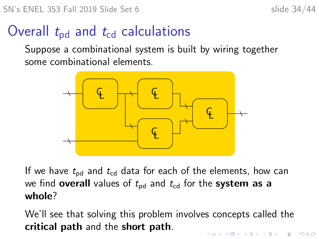## Overall  $t_{\rm pd}$  and  $t_{\rm cd}$  calculations

Suppose a combinational system is built by wiring together some combinational elements.



If we have  $t_{\rm{nd}}$  and  $t_{\rm{cd}}$  data for each of the elements, how can we find **overall** values of  $t_{\text{pd}}$  and  $t_{\text{cd}}$  for the **system as a** whole?

We'll see that solving this problem involves concepts called the critical path and the short path.4 0 > 4 4 + 4 = + 4 = + = + + 0 4 0 +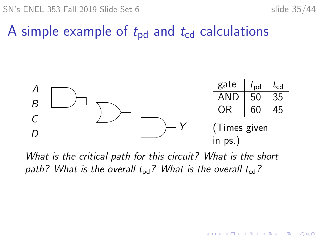SN's ENEL 353 Fall 2019 Slide Set 6 slide 35/44

 $2990$ 

B

イロト イ押ト イヨト イヨト

#### A simple example of  $t_{\rm pd}$  and  $t_{\rm cd}$  calculations



What is the critical path for this circuit? What is the short path? What is the overall  $t_{\rm bd}$ ? What is the overall  $t_{\rm cd}$ ?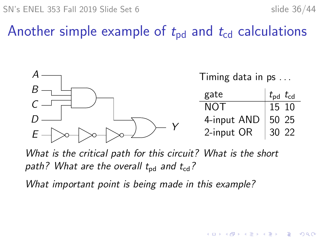$2Q$ 

**←ロ ▶ ィ伊 ▶ ィミ ▶ ィヨ ▶** 

## Another simple example of  $t_{\rm pd}$  and  $t_{\rm cd}$  calculations



What is the critical path for this circuit? What is the short path? What are the overall  $t_{\rm{nd}}$  and  $t_{\rm{cd}}$ ?

What important point is being made in this example?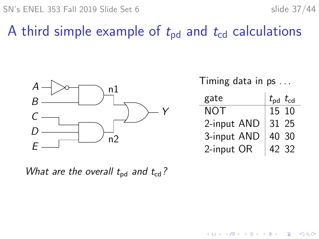$SN's ENEL 353$  Fall 2019 Slide Set 6 slide 37/44

 $2990$ 

 $\Rightarrow$ 

#### A third simple example of  $t_{\rm pd}$  and  $t_{\rm cd}$  calculations



Timing data in ps . . .

| gate        | $t_{\rm pd}$ $t_{\rm cd}$ |
|-------------|---------------------------|
| NOT         | 15 10                     |
| 2-input AND | 31 25                     |
| 3-input AND | 40 30                     |
| 2-input OR  | 42 32                     |

 $\left\{ \begin{array}{ccc} 1 & 0 & 0 \\ 0 & 1 & 0 \\ 0 & 0 & 0 \\ 0 & 0 & 0 \\ 0 & 0 & 0 \\ 0 & 0 & 0 \\ 0 & 0 & 0 \\ 0 & 0 & 0 \\ 0 & 0 & 0 \\ 0 & 0 & 0 \\ 0 & 0 & 0 \\ 0 & 0 & 0 \\ 0 & 0 & 0 \\ 0 & 0 & 0 \\ 0 & 0 & 0 & 0 \\ 0 & 0 & 0 & 0 \\ 0 & 0 & 0 & 0 \\ 0 & 0 & 0 & 0 & 0 \\ 0 & 0 & 0 & 0 & 0 \\ 0 & 0 & 0 & 0 & 0 \\ 0$ 

What are the overall  $t_{\rm od}$  and  $t_{\rm cd}$ ?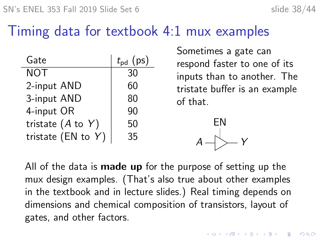#### <span id="page-37-0"></span>Timing data for textbook 4:1 mux examples

| Gate                  | $t_{\rm pd}$ (ps) |
|-----------------------|-------------------|
| <b>NOT</b>            | 30                |
| 2-input AND           | 60                |
| 3-input AND           | 80                |
| 4-input OR            | 90                |
| tristate $(A$ to $Y)$ | 50                |
| tristate (EN to $Y$ ) | 35                |

Sometimes a gate can respond faster to one of its inputs than to another. The tristate buffer is an example of that.

> $\left\langle A\right\rangle \left\langle \right\rangle \left\langle \right\rangle \left\langle Y\right\rangle$ EN

All of the data is **made up** for the purpose of setting up the mux design examples. (That's also true about other examples in the textbook and in lecture slides.) Real timing depends on dimensions and chemical composition of transistors, layout of gates, and other factors.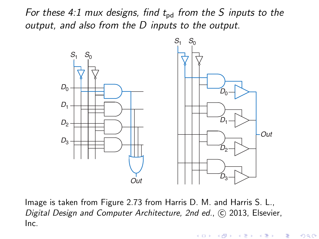For these 4:1 mux designs, find  $t_{\rm bd}$  from the S inputs to the output, and also from the D inputs to the output.



Image is taken from Figure 2.73 from Harris D. M. and Harris S. L., Digital Design and Computer Architecture, 2nd ed., © 2013, Elsevier,<br>. Inc.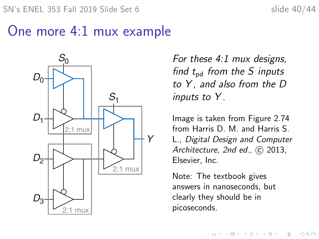#### <span id="page-39-0"></span>One more 4:1 mux example



For these 4:1 mux designs, find  $t_{\rm{pd}}$  from the S inputs to  $Y$ , and also from the  $D$ inputs to Y.

Image is taken from Figure 2.74 from Harris D. M. and Harris S. L., Digital Design and Computer Architecture, 2nd ed., C 2013, Elsevier, Inc.

Note: The textbook gives answers in nanoseconds, but clearly they should be in picoseconds.

**KORK EXTERNE PROVIDE**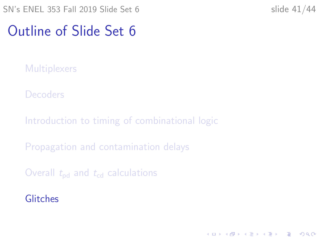#### <span id="page-40-0"></span>Outline of Slide Set 6

**[Multiplexers](#page-2-0)** 

**[Decoders](#page-16-0)** 

[Introduction to timing of combinational logic](#page-21-0)

[Propagation and contamination delays](#page-27-0)

Overall  $t_{\rm{nd}}$  and  $t_{\rm{cd}}$  [calculations](#page-32-0)

**[Glitches](#page-40-0)** 

K ロ ▶ K 個 ▶ K 할 ▶ K 할 ▶ 이 할 → 9 Q Q →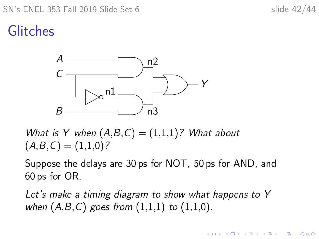#### $SN's ENEL 353$  Fall 2019 Slide Set 6 slide 42/44

 $\mathbf{A} \equiv \mathbf{A} + \mathbf{A} + \mathbf{B} + \mathbf{A} + \mathbf{B} + \mathbf{A} + \mathbf{B} + \mathbf{A} + \mathbf{B} + \mathbf{A} + \mathbf{B} + \mathbf{A} + \mathbf{B} + \mathbf{A} + \mathbf{B} + \mathbf{A} + \mathbf{B} + \mathbf{A} + \mathbf{B} + \mathbf{A} + \mathbf{B} + \mathbf{A} + \mathbf{B} + \mathbf{A} + \mathbf{B} + \mathbf{A} + \mathbf{B} + \mathbf{A} + \mathbf{B} + \mathbf{A} + \math$ 

 $2990$ 

## Glitches



What is Y when  $(A,B,C) = (1,1,1)$ ? What about  $(A,B,C) = (1,1,0)?$ 

Suppose the delays are 30 ps for NOT, 50 ps for AND, and 60 ps for OR.

Let's make a timing diagram to show what happens to Y when  $(A, B, C)$  goes from  $(1,1,1)$  to  $(1,1,0)$ .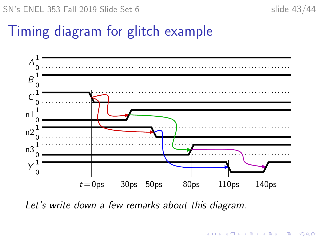## Timing diagram for glitch example



Let's write down a few remarks about this diagram.